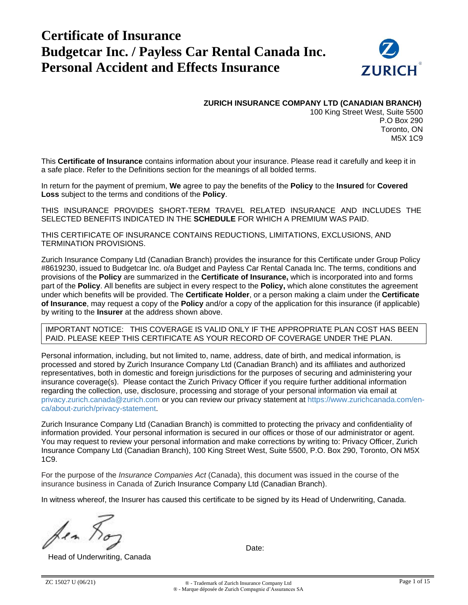# **Certificate of Insurance Budgetcar Inc. / Payless Car Rental Canada Inc. Personal Accident and Effects Insurance**



**ZURICH INSURANCE COMPANY LTD (CANADIAN BRANCH)**

100 King Street West, Suite 5500 P.O Box 290 Toronto, ON M5X 1C9

This **Certificate of Insurance** contains information about your insurance. Please read it carefully and keep it in a safe place. Refer to the Definitions section for the meanings of all bolded terms.

In return for the payment of premium, **We** agree to pay the benefits of the **Policy** to the **Insured** for **Covered Loss** subject to the terms and conditions of the **Policy**.

THIS INSURANCE PROVIDES SHORT-TERM TRAVEL RELATED INSURANCE AND INCLUDES THE SELECTED BENEFITS INDICATED IN THE **SCHEDULE** FOR WHICH A PREMIUM WAS PAID.

THIS CERTIFICATE OF INSURANCE CONTAINS REDUCTIONS, LIMITATIONS, EXCLUSIONS, AND TERMINATION PROVISIONS.

Zurich Insurance Company Ltd (Canadian Branch) provides the insurance for this Certificate under Group Policy #8619230, issued to Budgetcar Inc. o/a Budget and Payless Car Rental Canada Inc. The terms, conditions and provisions of the **Policy** are summarized in the **Certificate of Insurance,** which is incorporated into and forms part of the **Policy**. All benefits are subject in every respect to the **Policy,** which alone constitutes the agreement under which benefits will be provided. The **Certificate Holder**, or a person making a claim under the **Certificate of Insurance**, may request a copy of the **Policy** and/or a copy of the application for this insurance (if applicable) by writing to the **Insurer** at the address shown above.

IMPORTANT NOTICE: THIS COVERAGE IS VALID ONLY IF THE APPROPRIATE PLAN COST HAS BEEN PAID. PLEASE KEEP THIS CERTIFICATE AS YOUR RECORD OF COVERAGE UNDER THE PLAN.

Personal information, including, but not limited to, name, address, date of birth, and medical information, is processed and stored by Zurich Insurance Company Ltd (Canadian Branch) and its affiliates and authorized representatives, both in domestic and foreign jurisdictions for the purposes of securing and administering your insurance coverage(s). Please contact the Zurich Privacy Officer if you require further additional information regarding the collection, use, disclosure, processing and storage of your personal information via email at [privacy.zurich.canada@zurich.com](mailto:privacy.zurich.canada@zurich.com) or you can review our privacy statement at [https://www.zurichcanada.com/en](https://www.zurichcanada.com/en-ca/about-zurich/privacy-statement)[ca/about-zurich/privacy-statement.](https://www.zurichcanada.com/en-ca/about-zurich/privacy-statement)

Zurich Insurance Company Ltd (Canadian Branch) is committed to protecting the privacy and confidentiality of information provided. Your personal information is secured in our offices or those of our administrator or agent. You may request to review your personal information and make corrections by writing to: Privacy Officer, Zurich Insurance Company Ltd (Canadian Branch), 100 King Street West, Suite 5500, P.O. Box 290, Toronto, ON M5X 1C9.

For the purpose of the *Insurance Companies Act* (Canada), this document was issued in the course of the insurance business in Canada of Zurich Insurance Company Ltd (Canadian Branch).

In witness whereof, the Insurer has caused this certificate to be signed by its Head of Underwriting, Canada.

hen

Head of Underwriting, Canada

Date: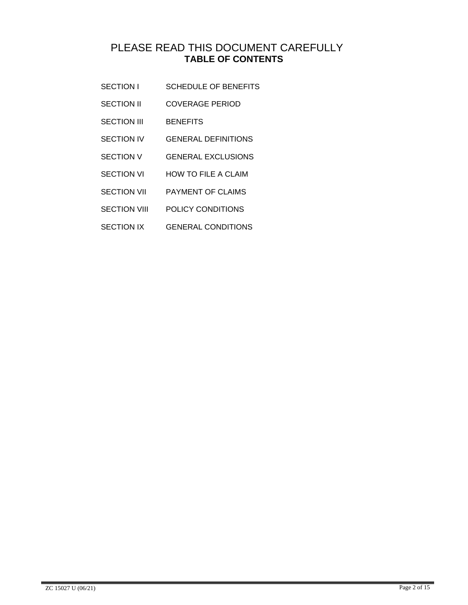# PLEASE READ THIS DOCUMENT CAREFULLY **TABLE OF CONTENTS**

- SECTION I SCHEDULE OF BENEFITS
- SECTION II COVERAGE PERIOD
- SECTION III BENEFITS
- SECTION IV GENERAL DEFINITIONS
- SECTION V GENERAL EXCLUSIONS
- SECTION VI HOW TO FILE A CLAIM
- SECTION VII PAYMENT OF CLAIMS
- SECTION VIII POLICY CONDITIONS
- SECTION IX GENERAL CONDITIONS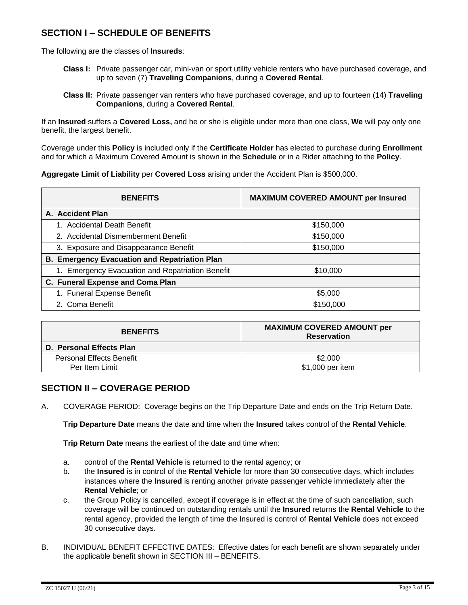# **SECTION I – SCHEDULE OF BENEFITS**

The following are the classes of **Insureds**:

- **Class I:** Private passenger car, mini-van or sport utility vehicle renters who have purchased coverage, and up to seven (7) **Traveling Companions**, during a **Covered Rental**.
- **Class II:** Private passenger van renters who have purchased coverage, and up to fourteen (14) **Traveling Companions**, during a **Covered Rental**.

If an **Insured** suffers a **Covered Loss,** and he or she is eligible under more than one class, **We** will pay only one benefit, the largest benefit.

Coverage under this **Policy** is included only if the **Certificate Holder** has elected to purchase during **Enrollment** and for which a Maximum Covered Amount is shown in the **Schedule** or in a Rider attaching to the **Policy**.

**Aggregate Limit of Liability** per **Covered Loss** arising under the Accident Plan is \$500,000.

| <b>BENEFITS</b>                                      | <b>MAXIMUM COVERED AMOUNT per Insured</b> |  |
|------------------------------------------------------|-------------------------------------------|--|
| A. Accident Plan                                     |                                           |  |
| 1. Accidental Death Benefit                          | \$150,000                                 |  |
| 2. Accidental Dismemberment Benefit                  | \$150,000                                 |  |
| 3. Exposure and Disappearance Benefit                | \$150,000                                 |  |
| <b>B. Emergency Evacuation and Repatriation Plan</b> |                                           |  |
| 1. Emergency Evacuation and Repatriation Benefit     | \$10,000                                  |  |
| C. Funeral Expense and Coma Plan                     |                                           |  |
| 1. Funeral Expense Benefit                           | \$5,000                                   |  |
| 2. Coma Benefit                                      | \$150,000                                 |  |

| <b>BENEFITS</b>                 | <b>MAXIMUM COVERED AMOUNT per</b><br><b>Reservation</b> |
|---------------------------------|---------------------------------------------------------|
| D. Personal Effects Plan        |                                                         |
| <b>Personal Effects Benefit</b> | \$2,000                                                 |
| Per Item Limit                  | \$1,000 per item                                        |

# **SECTION II – COVERAGE PERIOD**

A. COVERAGE PERIOD: Coverage begins on the Trip Departure Date and ends on the Trip Return Date.

**Trip Departure Date** means the date and time when the **Insured** takes control of the **Rental Vehicle**.

**Trip Return Date** means the earliest of the date and time when:

- a. control of the **Rental Vehicle** is returned to the rental agency; or
- b. the **Insured** is in control of the **Rental Vehicle** for more than 30 consecutive days, which includes instances where the **Insured** is renting another private passenger vehicle immediately after the **Rental Vehicle**; or
- c. the Group Policy is cancelled, except if coverage is in effect at the time of such cancellation, such coverage will be continued on outstanding rentals until the **Insured** returns the **Rental Vehicle** to the rental agency, provided the length of time the Insured is control of **Rental Vehicle** does not exceed 30 consecutive days.
- B. INDIVIDUAL BENEFIT EFFECTIVE DATES: Effective dates for each benefit are shown separately under the applicable benefit shown in SECTION III – BENEFITS.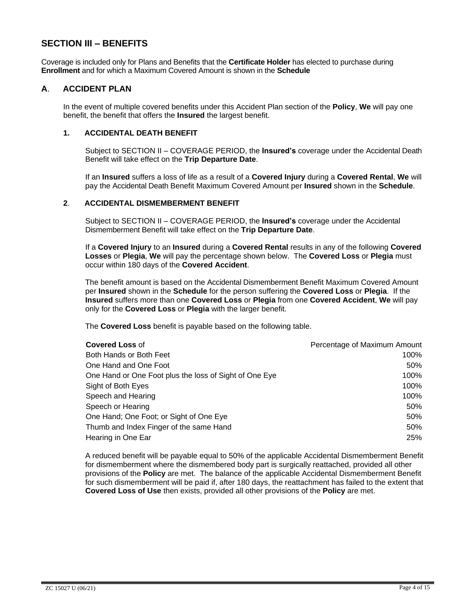# **SECTION III – BENEFITS**

Coverage is included only for Plans and Benefits that the **Certificate Holder** has elected to purchase during **Enrollment** and for which a Maximum Covered Amount is shown in the **Schedule**

#### **A**. **ACCIDENT PLAN**

In the event of multiple covered benefits under this Accident Plan section of the **Policy**, **We** will pay one benefit, the benefit that offers the **Insured** the largest benefit.

#### **1. ACCIDENTAL DEATH BENEFIT**

Subject to SECTION II – COVERAGE PERIOD, the **Insured's** coverage under the Accidental Death Benefit will take effect on the **Trip Departure Date**.

If an **Insured** suffers a loss of life as a result of a **Covered Injury** during a **Covered Rental**, **We** will pay the Accidental Death Benefit Maximum Covered Amount per **Insured** shown in the **Schedule**.

#### **2**. **ACCIDENTAL DISMEMBERMENT BENEFIT**

Subject to SECTION II – COVERAGE PERIOD, the **Insured's** coverage under the Accidental Dismemberment Benefit will take effect on the **Trip Departure Date**.

If a **Covered Injury** to an **Insured** during a **Covered Rental** results in any of the following **Covered Losses** or **Plegia**, **We** will pay the percentage shown below. The **Covered Loss** or **Plegia** must occur within 180 days of the **Covered Accident**.

The benefit amount is based on the Accidental Dismemberment Benefit Maximum Covered Amount per **Insured** shown in the **Schedule** for the person suffering the **Covered Loss** or **Plegia**. If the **Insured** suffers more than one **Covered Loss** or **Plegia** from one **Covered Accident**, **We** will pay only for the **Covered Loss** or **Plegia** with the larger benefit.

The **Covered Loss** benefit is payable based on the following table.

| <b>Covered Loss of</b>                                 | Percentage of Maximum Amount |
|--------------------------------------------------------|------------------------------|
| Both Hands or Both Feet                                | 100%                         |
| One Hand and One Foot                                  | 50%                          |
| One Hand or One Foot plus the loss of Sight of One Eye | 100%                         |
| Sight of Both Eyes                                     | 100%                         |
| Speech and Hearing                                     | 100%                         |
| Speech or Hearing                                      | 50%                          |
| One Hand; One Foot; or Sight of One Eye                | 50%                          |
| Thumb and Index Finger of the same Hand                | 50%                          |
| Hearing in One Ear                                     | 25%                          |

A reduced benefit will be payable equal to 50% of the applicable Accidental Dismemberment Benefit for dismemberment where the dismembered body part is surgically reattached, provided all other provisions of the **Policy** are met. The balance of the applicable Accidental Dismemberment Benefit for such dismemberment will be paid if, after 180 days, the reattachment has failed to the extent that **Covered Loss of Use** then exists, provided all other provisions of the **Policy** are met.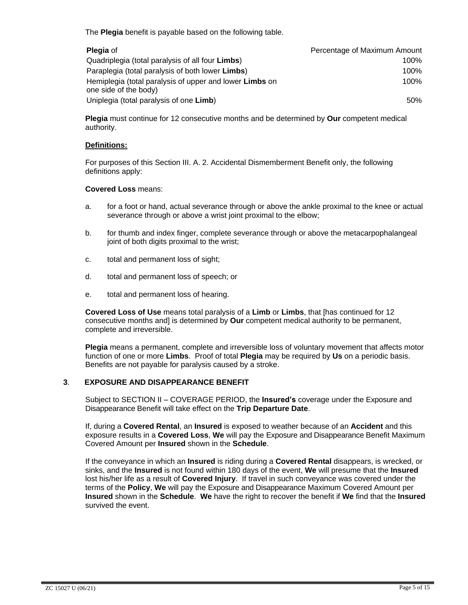The **Plegia** benefit is payable based on the following table.

| <b>Plegia</b> of                                               | Percentage of Maximum Amount |
|----------------------------------------------------------------|------------------------------|
| Quadriplegia (total paralysis of all four Limbs)               | 100%                         |
| Paraplegia (total paralysis of both lower <b>Limbs</b> )       | 100%                         |
| Hemiplegia (total paralysis of upper and lower <b>Limbs</b> on | 100%                         |
| one side of the body)                                          |                              |
| Uniplegia (total paralysis of one Limb)                        | 50%                          |

**Plegia** must continue for 12 consecutive months and be determined by **Our** competent medical authority.

#### **Definitions:**

For purposes of this Section III. A. 2. Accidental Dismemberment Benefit only, the following definitions apply:

#### **Covered Loss** means:

- a. for a foot or hand, actual severance through or above the ankle proximal to the knee or actual severance through or above a wrist joint proximal to the elbow;
- b. for thumb and index finger, complete severance through or above the metacarpophalangeal joint of both digits proximal to the wrist;
- c. total and permanent loss of sight;
- d. total and permanent loss of speech; or
- e. total and permanent loss of hearing.

**Covered Loss of Use** means total paralysis of a **Limb** or **Limbs**, that [has continued for 12 consecutive months and] is determined by **Our** competent medical authority to be permanent, complete and irreversible.

**Plegia** means a permanent, complete and irreversible loss of voluntary movement that affects motor function of one or more **Limbs**. Proof of total **Plegia** may be required by **Us** on a periodic basis. Benefits are not payable for paralysis caused by a stroke.

#### **3**. **EXPOSURE AND DISAPPEARANCE BENEFIT**

Subject to SECTION II – COVERAGE PERIOD, the **Insured's** coverage under the Exposure and Disappearance Benefit will take effect on the **Trip Departure Date**.

If, during a **Covered Rental**, an **Insured** is exposed to weather because of an **Accident** and this exposure results in a **Covered Loss**, **We** will pay the Exposure and Disappearance Benefit Maximum Covered Amount per **Insured** shown in the **Schedule**.

If the conveyance in which an **Insured** is riding during a **Covered Rental** disappears, is wrecked, or sinks, and the **Insured** is not found within 180 days of the event, **We** will presume that the **Insured** lost his/her life as a result of **Covered Injury**. If travel in such conveyance was covered under the terms of the **Policy**, **We** will pay the Exposure and Disappearance Maximum Covered Amount per **Insured** shown in the **Schedule**. **We** have the right to recover the benefit if **We** find that the **Insured** survived the event.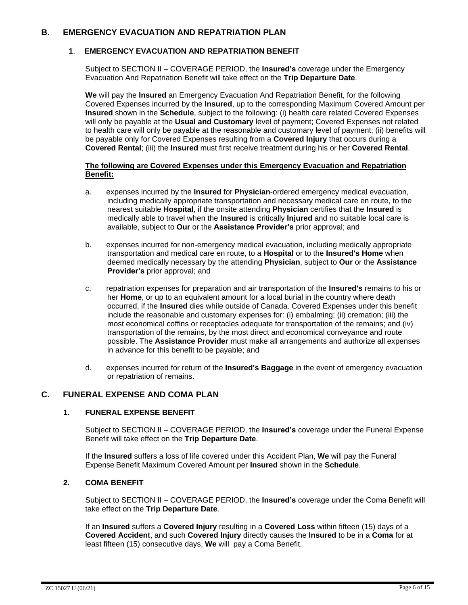#### **B**. **EMERGENCY EVACUATION AND REPATRIATION PLAN**

#### **1**. **EMERGENCY EVACUATION AND REPATRIATION BENEFIT**

Subject to SECTION II – COVERAGE PERIOD, the **Insured's** coverage under the Emergency Evacuation And Repatriation Benefit will take effect on the **Trip Departure Date**.

**We** will pay the **Insured** an Emergency Evacuation And Repatriation Benefit, for the following Covered Expenses incurred by the **Insured**, up to the corresponding Maximum Covered Amount per **Insured** shown in the **Schedule**, subject to the following: (i) health care related Covered Expenses will only be payable at the **Usual and Customary** level of payment; Covered Expenses not related to health care will only be payable at the reasonable and customary level of payment; (ii) benefits will be payable only for Covered Expenses resulting from a **Covered Injury** that occurs during a **Covered Rental**; (iii) the **Insured** must first receive treatment during his or her **Covered Rental**.

#### **The following are Covered Expenses under this Emergency Evacuation and Repatriation Benefit:**

- a. expenses incurred by the **Insured** for **Physician**-ordered emergency medical evacuation, including medically appropriate transportation and necessary medical care en route, to the nearest suitable **Hospital**, if the onsite attending **Physician** certifies that the **Insured** is medically able to travel when the **Insured** is critically **Injured** and no suitable local care is available, subject to **Our** or the **Assistance Provider's** prior approval; and
- b. expenses incurred for non-emergency medical evacuation, including medically appropriate transportation and medical care en route, to a **Hospital** or to the **Insured's Home** when deemed medically necessary by the attending **Physician**, subject to **Our** or the **Assistance Provider's** prior approval; and
- c. repatriation expenses for preparation and air transportation of the **Insured's** remains to his or her **Home**, or up to an equivalent amount for a local burial in the country where death occurred, if the **Insured** dies while outside of Canada. Covered Expenses under this benefit include the reasonable and customary expenses for: (i) embalming; (ii) cremation; (iii) the most economical coffins or receptacles adequate for transportation of the remains; and (iv) transportation of the remains, by the most direct and economical conveyance and route possible. The **Assistance Provider** must make all arrangements and authorize all expenses in advance for this benefit to be payable; and
- d. expenses incurred for return of the **Insured's Baggage** in the event of emergency evacuation or repatriation of remains.

#### **C. FUNERAL EXPENSE AND COMA PLAN**

#### **1. FUNERAL EXPENSE BENEFIT**

Subject to SECTION II – COVERAGE PERIOD, the **Insured's** coverage under the Funeral Expense Benefit will take effect on the **Trip Departure Date**.

If the **Insured** suffers a loss of life covered under this Accident Plan, **We** will pay the Funeral Expense Benefit Maximum Covered Amount per **Insured** shown in the **Schedule**.

#### **2. COMA BENEFIT**

Subject to SECTION II – COVERAGE PERIOD, the **Insured's** coverage under the Coma Benefit will take effect on the **Trip Departure Date**.

If an **Insured** suffers a **Covered Injury** resulting in a **Covered Loss** within fifteen (15) days of a **Covered Accident**, and such **Covered Injury** directly causes the **Insured** to be in a **Coma** for at least fifteen (15) consecutive days, **We** will pay a Coma Benefit.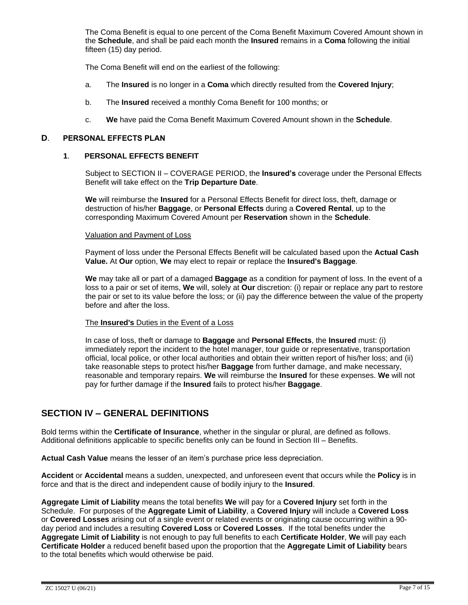The Coma Benefit is equal to one percent of the Coma Benefit Maximum Covered Amount shown in the **Schedule**, and shall be paid each month the **Insured** remains in a **Coma** following the initial fifteen (15) day period.

The Coma Benefit will end on the earliest of the following:

- a. The **Insured** is no longer in a **Coma** which directly resulted from the **Covered Injury**;
- b. The **Insured** received a monthly Coma Benefit for 100 months; or
- c. **We** have paid the Coma Benefit Maximum Covered Amount shown in the **Schedule**.

#### **D**. **PERSONAL EFFECTS PLAN**

#### **1**. **PERSONAL EFFECTS BENEFIT**

Subject to SECTION II – COVERAGE PERIOD, the **Insured's** coverage under the Personal Effects Benefit will take effect on the **Trip Departure Date**.

**We** will reimburse the **Insured** for a Personal Effects Benefit for direct loss, theft, damage or destruction of his/her **Baggage**, or **Personal Effects** during a **Covered Rental**, up to the corresponding Maximum Covered Amount per **Reservation** shown in the **Schedule**.

#### Valuation and Payment of Loss

Payment of loss under the Personal Effects Benefit will be calculated based upon the **Actual Cash Value.** At **Our** option, **We** may elect to repair or replace the **Insured's Baggage**.

**We** may take all or part of a damaged **Baggage** as a condition for payment of loss. In the event of a loss to a pair or set of items, **We** will, solely at **Our** discretion: (i) repair or replace any part to restore the pair or set to its value before the loss; or (ii) pay the difference between the value of the property before and after the loss.

#### The **Insured's** Duties in the Event of a Loss

In case of loss, theft or damage to **Baggage** and **Personal Effects**, the **Insured** must: (i) immediately report the incident to the hotel manager, tour guide or representative, transportation official, local police, or other local authorities and obtain their written report of his/her loss; and (ii) take reasonable steps to protect his/her **Baggage** from further damage, and make necessary, reasonable and temporary repairs. **We** will reimburse the **Insured** for these expenses. **We** will not pay for further damage if the **Insured** fails to protect his/her **Baggage**.

# **SECTION IV – GENERAL DEFINITIONS**

Bold terms within the **Certificate of Insurance**, whether in the singular or plural, are defined as follows. Additional definitions applicable to specific benefits only can be found in Section III – Benefits.

**Actual Cash Value** means the lesser of an item's purchase price less depreciation.

**Accident** or **Accidental** means a sudden, unexpected, and unforeseen event that occurs while the **Policy** is in force and that is the direct and independent cause of bodily injury to the **Insured**.

**Aggregate Limit of Liability** means the total benefits **We** will pay for a **Covered Injury** set forth in the Schedule.For purposes of the **Aggregate Limit of Liability**, a **Covered Injury** will include a **Covered Loss**  or **Covered Losses** arising out of a single event or related events or originating cause occurring within a 90 day period and includes a resulting **Covered Loss** or **Covered Losses**. If the total benefits under the **Aggregate Limit of Liability** is not enough to pay full benefits to each **Certificate Holder**, **We** will pay each **Certificate Holder** a reduced benefit based upon the proportion that the **Aggregate Limit of Liability** bears to the total benefits which would otherwise be paid.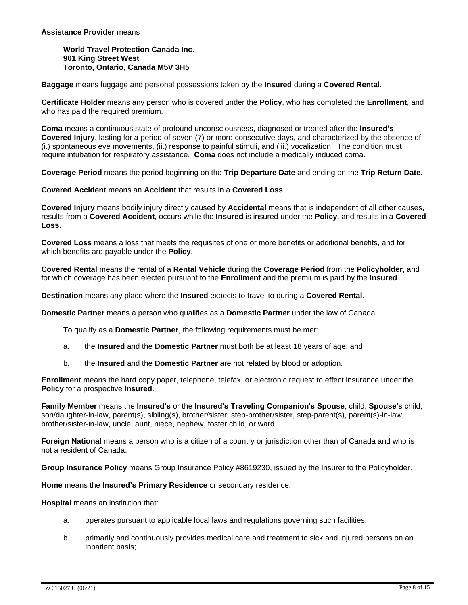#### **Assistance Provider** means

**World Travel Protection Canada Inc. 901 King Street West Toronto, Ontario, Canada M5V 3H5**

**Baggage** means luggage and personal possessions taken by the **Insured** during a **Covered Rental**.

**Certificate Holder** means any person who is covered under the **Policy**, who has completed the **Enrollment**, and who has paid the required premium.

**Coma** means a continuous state of profound unconsciousness, diagnosed or treated after the **Insured's Covered Injury**, lasting for a period of seven (7) or more consecutive days, and characterized by the absence of: (i.) spontaneous eye movements, (ii.) response to painful stimuli, and (iii.) vocalization. The condition must require intubation for respiratory assistance. **Coma** does not include a medically induced coma.

**Coverage Period** means the period beginning on the **Trip Departure Date** and ending on the **Trip Return Date.**

**Covered Accident** means an **Accident** that results in a **Covered Loss**.

**Covered Injury** means bodily injury directly caused by **Accidental** means that is independent of all other causes, results from a **Covered Accident**, occurs while the **Insured** is insured under the **Policy**, and results in a **Covered Loss**.

**Covered Loss** means a loss that meets the requisites of one or more benefits or additional benefits, and for which benefits are payable under the **Policy**.

**Covered Rental** means the rental of a **Rental Vehicle** during the **Coverage Period** from the **Policyholder**, and for which coverage has been elected pursuant to the **Enrollment** and the premium is paid by the **Insured**.

**Destination** means any place where the **Insured** expects to travel to during a **Covered Rental**.

**Domestic Partner** means a person who qualifies as a **Domestic Partner** under the law of Canada.

To qualify as a **Domestic Partner**, the following requirements must be met:

- a. the **Insured** and the **Domestic Partner** must both be at least 18 years of age; and
- b. the **Insured** and the **Domestic Partner** are not related by blood or adoption.

**Enrollment** means the hard copy paper, telephone, telefax, or electronic request to effect insurance under the **Policy** for a prospective **Insured**.

**Family Member** means the **Insured's** or the **Insured's Traveling Companion's Spouse**, child, **Spouse's** child, son/daughter-in-law, parent(s), sibling(s), brother/sister, step-brother/sister, step-parent(s), parent(s)-in-law, brother/sister-in-law, uncle, aunt, niece, nephew, foster child, or ward.

**Foreign National** means a person who is a citizen of a country or jurisdiction other than of Canada and who is not a resident of Canada.

**Group Insurance Policy** means Group Insurance Policy #8619230, issued by the Insurer to the Policyholder.

**Home** means the **Insured's Primary Residence** or secondary residence.

**Hospital** means an institution that:

- a. operates pursuant to applicable local laws and regulations governing such facilities;
- b. primarily and continuously provides medical care and treatment to sick and injured persons on an inpatient basis;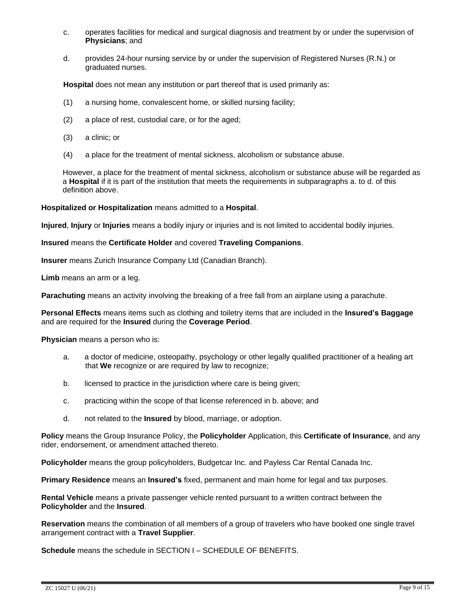- c. operates facilities for medical and surgical diagnosis and treatment by or under the supervision of **Physicians**; and
- d. provides 24-hour nursing service by or under the supervision of Registered Nurses (R.N.) or graduated nurses.

**Hospital** does not mean any institution or part thereof that is used primarily as:

- (1) a nursing home, convalescent home, or skilled nursing facility;
- (2) a place of rest, custodial care, or for the aged;
- (3) a clinic; or
- (4) a place for the treatment of mental sickness, alcoholism or substance abuse.

However, a place for the treatment of mental sickness, alcoholism or substance abuse will be regarded as a **Hospital** if it is part of the institution that meets the requirements in subparagraphs a. to d. of this definition above.

#### **Hospitalized or Hospitalization** means admitted to a **Hospital**.

**Injured**, **Injury** or **Injuries** means a bodily injury or injuries and is not limited to accidental bodily injuries.

#### **Insured** means the **Certificate Holder** and covered **Traveling Companions**.

**Insurer** means Zurich Insurance Company Ltd (Canadian Branch).

**Limb** means an arm or a leg.

**Parachuting** means an activity involving the breaking of a free fall from an airplane using a parachute.

**Personal Effects** means items such as clothing and toiletry items that are included in the **Insured's Baggage** and are required for the **Insured** during the **Coverage Period**.

**Physician** means a person who is:

- a. a doctor of medicine, osteopathy, psychology or other legally qualified practitioner of a healing art that **We** recognize or are required by law to recognize;
- b. licensed to practice in the jurisdiction where care is being given;
- c. practicing within the scope of that license referenced in b. above; and
- d. not related to the **Insured** by blood, marriage, or adoption.

**Policy** means the Group Insurance Policy, the **Policyholder** Application, this **Certificate of Insurance**, and any rider, endorsement, or amendment attached thereto.

**Policyholder** means the group policyholders, Budgetcar Inc. and Payless Car Rental Canada Inc.

**Primary Residence** means an **Insured's** fixed, permanent and main home for legal and tax purposes.

**Rental Vehicle** means a private passenger vehicle rented pursuant to a written contract between the **Policyholder** and the **Insured**.

**Reservation** means the combination of all members of a group of travelers who have booked one single travel arrangement contract with a **Travel Supplier**.

**Schedule** means the schedule in SECTION I – SCHEDULE OF BENEFITS.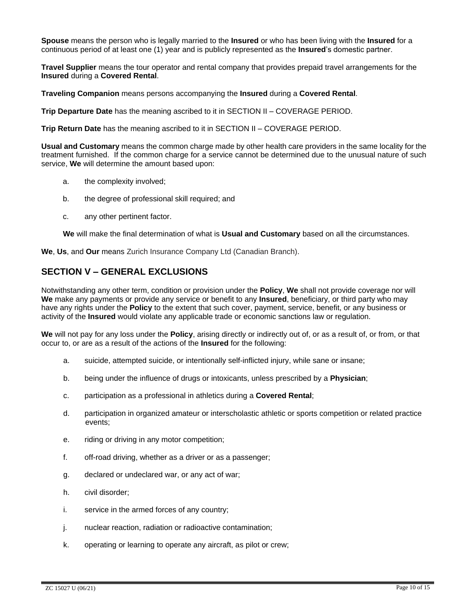**Spouse** means the person who is legally married to the **Insured** or who has been living with the **Insured** for a continuous period of at least one (1) year and is publicly represented as the **Insured**'s domestic partner.

**Travel Supplier** means the tour operator and rental company that provides prepaid travel arrangements for the **Insured** during a **Covered Rental**.

**Traveling Companion** means persons accompanying the **Insured** during a **Covered Rental**.

**Trip Departure Date** has the meaning ascribed to it in SECTION II – COVERAGE PERIOD.

**Trip Return Date** has the meaning ascribed to it in SECTION II – COVERAGE PERIOD.

**Usual and Customary** means the common charge made by other health care providers in the same locality for the treatment furnished. If the common charge for a service cannot be determined due to the unusual nature of such service, **We** will determine the amount based upon:

- a. the complexity involved;
- b. the degree of professional skill required; and
- c. any other pertinent factor.

**We** will make the final determination of what is **Usual and Customary** based on all the circumstances.

**We**, **Us**, and **Our** means Zurich Insurance Company Ltd (Canadian Branch).

### **SECTION V – GENERAL EXCLUSIONS**

Notwithstanding any other term, condition or provision under the **Policy**, **We** shall not provide coverage nor will **We** make any payments or provide any service or benefit to any **Insured**, beneficiary, or third party who may have any rights under the **Policy** to the extent that such cover, payment, service, benefit, or any business or activity of the **Insured** would violate any applicable trade or economic sanctions law or regulation.

We will not pay for any loss under the **Policy**, arising directly or indirectly out of, or as a result of, or from, or that occur to, or are as a result of the actions of the **Insured** for the following:

- a. suicide, attempted suicide, or intentionally self-inflicted injury, while sane or insane;
- b. being under the influence of drugs or intoxicants, unless prescribed by a **Physician**;
- c. participation as a professional in athletics during a **Covered Rental**;
- d. participation in organized amateur or interscholastic athletic or sports competition or related practice events;
- e. riding or driving in any motor competition;
- f. off-road driving, whether as a driver or as a passenger;
- g. declared or undeclared war, or any act of war;
- h. civil disorder;
- i. service in the armed forces of any country;
- j. nuclear reaction, radiation or radioactive contamination;
- k. operating or learning to operate any aircraft, as pilot or crew;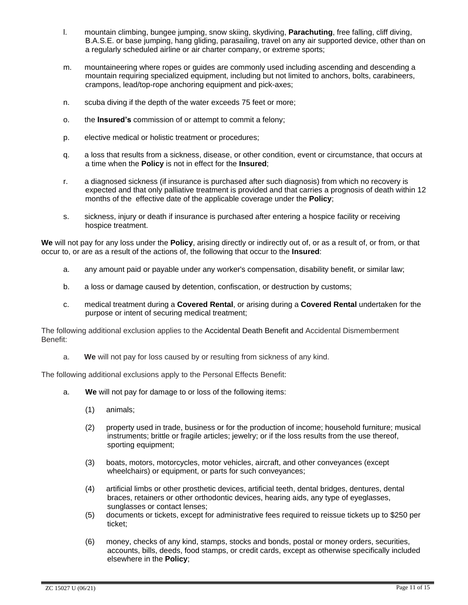- l. mountain climbing, bungee jumping, snow skiing, skydiving, **Parachuting**, free falling, cliff diving, B.A.S.E. or base jumping, hang gliding, parasailing, travel on any air supported device, other than on a regularly scheduled airline or air charter company, or extreme sports;
- m. mountaineering where ropes or guides are commonly used including ascending and descending a mountain requiring specialized equipment, including but not limited to anchors, bolts, carabineers, crampons, lead/top-rope anchoring equipment and pick-axes;
- n. scuba diving if the depth of the water exceeds 75 feet or more;
- o. the **Insured's** commission of or attempt to commit a felony;
- p. elective medical or holistic treatment or procedures;
- q. a loss that results from a sickness, disease, or other condition, event or circumstance, that occurs at a time when the **Policy** is not in effect for the **Insured**;
- r. a diagnosed sickness (if insurance is purchased after such diagnosis) from which no recovery is expected and that only palliative treatment is provided and that carries a prognosis of death within 12 months of the effective date of the applicable coverage under the **Policy**;
- s. sickness, injury or death if insurance is purchased after entering a hospice facility or receiving hospice treatment.

We will not pay for any loss under the **Policy**, arising directly or indirectly out of, or as a result of, or from, or that occur to, or are as a result of the actions of, the following that occur to the **Insured**:

- a. any amount paid or payable under any worker's compensation, disability benefit, or similar law;
- b. a loss or damage caused by detention, confiscation, or destruction by customs;
- c. medical treatment during a **Covered Rental**, or arising during a **Covered Rental** undertaken for the purpose or intent of securing medical treatment;

The following additional exclusion applies to the Accidental Death Benefit and Accidental Dismemberment Benefit:

a. **We** will not pay for loss caused by or resulting from sickness of any kind.

The following additional exclusions apply to the Personal Effects Benefit:

- a. **We** will not pay for damage to or loss of the following items:
	- (1) animals;
	- (2) property used in trade, business or for the production of income; household furniture; musical instruments; brittle or fragile articles; jewelry; or if the loss results from the use thereof, sporting equipment;
	- (3) boats, motors, motorcycles, motor vehicles, aircraft, and other conveyances (except wheelchairs) or equipment, or parts for such conveyances;
	- (4) artificial limbs or other prosthetic devices, artificial teeth, dental bridges, dentures, dental braces, retainers or other orthodontic devices, hearing aids, any type of eyeglasses, sunglasses or contact lenses;
	- (5) documents or tickets, except for administrative fees required to reissue tickets up to \$250 per ticket;
	- (6) money, checks of any kind, stamps, stocks and bonds, postal or money orders, securities, accounts, bills, deeds, food stamps, or credit cards, except as otherwise specifically included elsewhere in the **Policy**;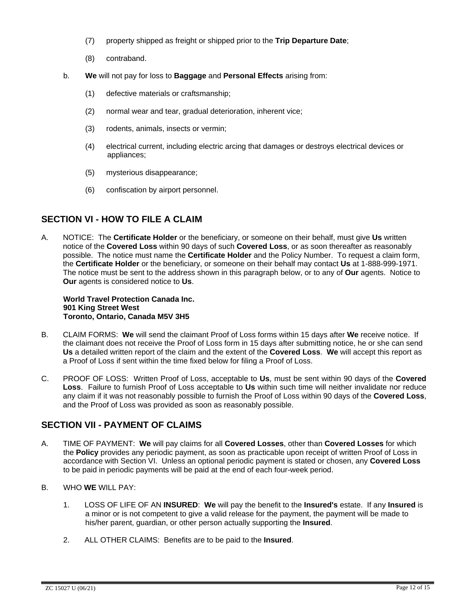- (7) property shipped as freight or shipped prior to the **Trip Departure Date**;
- (8) contraband.
- b. **We** will not pay for loss to **Baggage** and **Personal Effects** arising from:
	- (1) defective materials or craftsmanship;
	- (2) normal wear and tear, gradual deterioration, inherent vice;
	- (3) rodents, animals, insects or vermin;
	- (4) electrical current, including electric arcing that damages or destroys electrical devices or appliances;
	- (5) mysterious disappearance;
	- (6) confiscation by airport personnel.

# **SECTION VI - HOW TO FILE A CLAIM**

A. NOTICE:The **Certificate Holder** or the beneficiary, or someone on their behalf, must give **Us** written notice of the **Covered Loss** within 90 days of such **Covered Loss**, or as soon thereafter as reasonably possible. The notice must name the **Certificate Holder** and the Policy Number. To request a claim form, the **Certificate Holder** or the beneficiary, or someone on their behalf may contact **Us** at 1-888-999-1971. The notice must be sent to the address shown in this paragraph below, or to any of **Our** agents. Notice to **Our** agents is considered notice to **Us**.

#### **World Travel Protection Canada Inc. 901 King Street West Toronto, Ontario, Canada M5V 3H5**

- B. CLAIM FORMS: **We** will send the claimant Proof of Loss forms within 15 days after **We** receive notice. If the claimant does not receive the Proof of Loss form in 15 days after submitting notice, he or she can send **Us** a detailed written report of the claim and the extent of the **Covered Loss**. **We** will accept this report as a Proof of Loss if sent within the time fixed below for filing a Proof of Loss.
- C. PROOF OF LOSS: Written Proof of Loss, acceptable to **Us**, must be sent within 90 days of the **Covered Loss**. Failure to furnish Proof of Loss acceptable to **Us** within such time will neither invalidate nor reduce any claim if it was not reasonably possible to furnish the Proof of Loss within 90 days of the **Covered Loss**, and the Proof of Loss was provided as soon as reasonably possible.

# **SECTION VII - PAYMENT OF CLAIMS**

- A. TIME OF PAYMENT: **We** will pay claims for all **Covered Losses**, other than **Covered Losses** for which the **Policy** provides any periodic payment, as soon as practicable upon receipt of written Proof of Loss in accordance with Section VI. Unless an optional periodic payment is stated or chosen, any **Covered Loss** to be paid in periodic payments will be paid at the end of each four-week period.
- B. WHO **WE** WILL PAY:
	- 1. LOSS OF LIFE OF AN **INSURED**: **We** will pay the benefit to the **Insured's** estate. If any **Insured** is a minor or is not competent to give a valid release for the payment, the payment will be made to his/her parent, guardian, or other person actually supporting the **Insured**.
	- 2. ALL OTHER CLAIMS: Benefits are to be paid to the **Insured**.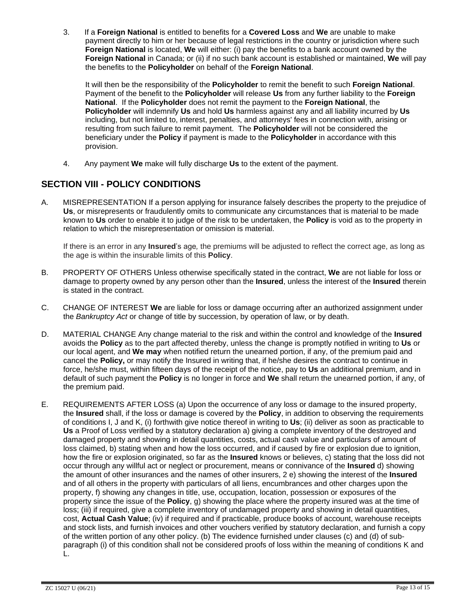3. If a **Foreign National** is entitled to benefits for a **Covered Loss** and **We** are unable to make payment directly to him or her because of legal restrictions in the country or jurisdiction where such **Foreign National** is located, **We** will either: (i) pay the benefits to a bank account owned by the **Foreign National** in Canada; or (ii) if no such bank account is established or maintained, **We** will pay the benefits to the **Policyholder** on behalf of the **Foreign National**.

It will then be the responsibility of the **Policyholder** to remit the benefit to such **Foreign National**. Payment of the benefit to the **Policyholder** will release **Us** from any further liability to the **Foreign National**. If the **Policyholder** does not remit the payment to the **Foreign National**, the **Policyholder** will indemnify **Us** and hold **Us** harmless against any and all liability incurred by **Us** including, but not limited to, interest, penalties, and attorneys' fees in connection with, arising or resulting from such failure to remit payment. The **Policyholder** will not be considered the beneficiary under the **Policy** if payment is made to the **Policyholder** in accordance with this provision.

4. Any payment **We** make will fully discharge **Us** to the extent of the payment.

# **SECTION VIII - POLICY CONDITIONS**

A. MISREPRESENTATION If a person applying for insurance falsely describes the property to the prejudice of **Us**, or misrepresents or fraudulently omits to communicate any circumstances that is material to be made known to **Us** order to enable it to judge of the risk to be undertaken, the **Policy** is void as to the property in relation to which the misrepresentation or omission is material.

If there is an error in any **Insured**'s age*,* the premiums will be adjusted to reflect the correct age, as long as the age is within the insurable limits of this **Policy**.

- B. PROPERTY OF OTHERS Unless otherwise specifically stated in the contract, **We** are not liable for loss or damage to property owned by any person other than the **Insured**, unless the interest of the **Insured** therein is stated in the contract.
- C. CHANGE OF INTEREST **We** are liable for loss or damage occurring after an authorized assignment under the *Bankruptcy Act* or change of title by succession, by operation of law, or by death.
- D. MATERIAL CHANGE Any change material to the risk and within the control and knowledge of the **Insured** avoids the **Policy** as to the part affected thereby, unless the change is promptly notified in writing to **Us** or our local agent, and **We may** when notified return the unearned portion, if any, of the premium paid and cancel the **Policy,** or may notify the Insured in writing that, if he/she desires the contract to continue in force, he/she must, within fifteen days of the receipt of the notice, pay to **Us** an additional premium, and in default of such payment the **Policy** is no longer in force and **We** shall return the unearned portion, if any, of the premium paid.
- E. REQUIREMENTS AFTER LOSS (a) Upon the occurrence of any loss or damage to the insured property, the **Insured** shall, if the loss or damage is covered by the **Policy**, in addition to observing the requirements of conditions I, J and K, (i) forthwith give notice thereof in writing to **Us**; (ii) deliver as soon as practicable to **Us** a Proof of Loss verified by a statutory declaration a) giving a complete inventory of the destroyed and damaged property and showing in detail quantities, costs, actual cash value and particulars of amount of loss claimed, b) stating when and how the loss occurred, and if caused by fire or explosion due to ignition, how the fire or explosion originated, so far as the **Insured** knows or believes, c) stating that the loss did not occur through any willful act or neglect or procurement, means or connivance of the **Insured** d) showing the amount of other insurances and the names of other insurers, 2 e) showing the interest of the **Insured** and of all others in the property with particulars of all liens, encumbrances and other charges upon the property, f) showing any changes in title, use, occupation, location, possession or exposures of the property since the issue of the **Policy**, g) showing the place where the property insured was at the time of loss; (iii) if required, give a complete inventory of undamaged property and showing in detail quantities, cost, **Actual Cash Value**; (iv) if required and if practicable, produce books of account, warehouse receipts and stock lists, and furnish invoices and other vouchers verified by statutory declaration, and furnish a copy of the written portion of any other policy. (b) The evidence furnished under clauses (c) and (d) of subparagraph (i) of this condition shall not be considered proofs of loss within the meaning of conditions K and L.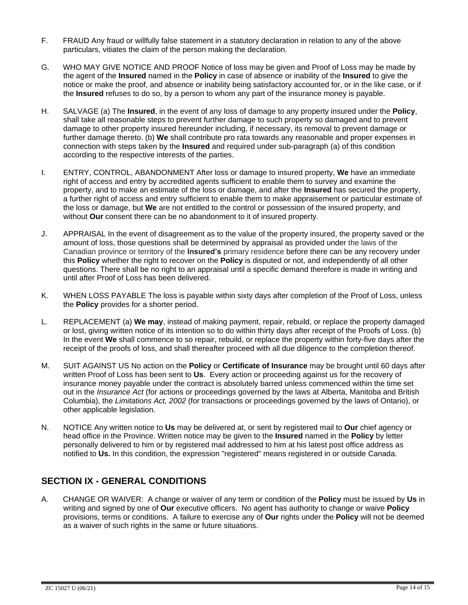- F. FRAUD Any fraud or willfully false statement in a statutory declaration in relation to any of the above particulars, vitiates the claim of the person making the declaration.
- G. WHO MAY GIVE NOTICE AND PROOF Notice of loss may be given and Proof of Loss may be made by the agent of the **Insured** named in the **Policy** in case of absence or inability of the **Insured** to give the notice or make the proof, and absence or inability being satisfactory accounted for, or in the like case, or if the **Insured** refuses to do so, by a person to whom any part of the insurance money is payable.
- H. SALVAGE (a) The **Insured**, in the event of any loss of damage to any property insured under the **Policy**, shall take all reasonable steps to prevent further damage to such property so damaged and to prevent damage to other property insured hereunder including, if necessary, its removal to prevent damage or further damage thereto. (b) **We** shall contribute pro rata towards any reasonable and proper expenses in connection with steps taken by the **Insured** and required under sub-paragraph (a) of this condition according to the respective interests of the parties.
- I. ENTRY, CONTROL, ABANDONMENT After loss or damage to insured property, **We** have an immediate right of access and entry by accredited agents sufficient to enable them to survey and examine the property, and to make an estimate of the loss or damage, and after the **Insured** has secured the property, a further right of access and entry sufficient to enable them to make appraisement or particular estimate of the loss or damage, but **We** are not entitled to the control or possession of the insured property, and without **Our** consent there can be no abandonment to it of insured property.
- J. APPRAISAL In the event of disagreement as to the value of the property insured, the property saved or the amount of loss, those questions shall be determined by appraisal as provided under the laws of the Canadian province or territory of the **Insured's** primary residence before there can be any recovery under this **Policy** whether the right to recover on the **Policy** is disputed or not, and independently of all other questions. There shall be no right to an appraisal until a specific demand therefore is made in writing and until after Proof of Loss has been delivered.
- K. WHEN LOSS PAYABLE The loss is payable within sixty days after completion of the Proof of Loss, unless the **Policy** provides for a shorter period.
- L. REPLACEMENT (a) **We may**, instead of making payment, repair, rebuild, or replace the property damaged or lost, giving written notice of its intention so to do within thirty days after receipt of the Proofs of Loss. (b) In the event **We** shall commence to so repair, rebuild, or replace the property within forty-five days after the receipt of the proofs of loss, and shall thereafter proceed with all due diligence to the completion thereof.
- M. SUIT AGAINST US No action on the **Policy** or **Certificate of Insurance** may be brought until 60 days after written Proof of Loss has been sent to **Us**. Every action or proceeding against us for the recovery of insurance money payable under the contract is absolutely barred unless commenced within the time set out in the *Insurance Act* (for actions or proceedings governed by the laws at Alberta, Manitoba and British Columbia), the *Limitations Act, 2002* (for transactions or proceedings governed by the laws of Ontario), or other applicable legislation.
- N. NOTICE Any written notice to **Us** may be delivered at, or sent by registered mail to **Our** chief agency or head office in the Province. Written notice may be given to the **Insured** named in the **Policy** by letter personally delivered to him or by registered mail addressed to him at his latest post office address as notified to **Us.** In this condition, the expression "registered" means registered in or outside Canada.

# **SECTION IX - GENERAL CONDITIONS**

A. CHANGE OR WAIVER: A change or waiver of any term or condition of the **Policy** must be issued by **Us** in writing and signed by one of **Our** executive officers. No agent has authority to change or waive **Policy** provisions, terms or conditions. A failure to exercise any of **Our** rights under the **Policy** will not be deemed as a waiver of such rights in the same or future situations.